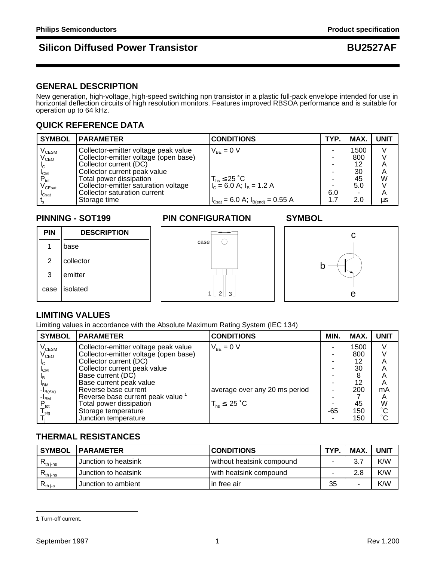## **Silicon Diffused Power Transistor Community Community BU2527AF**

## **GENERAL DESCRIPTION**

New generation, high-voltage, high-speed switching npn transistor in a plastic full-pack envelope intended for use in horizontal deflection circuits of high resolution monitors. Features improved RBSOA performance and is suitable for operation up to 64 kHz.

### **QUICK REFERENCE DATA**

| <b>SYMBOL</b>                          | <b>IPARAMETER</b>                     | <b>CONDITIONS</b>                                                     | TYP. | MAX. | <b>UNIT</b> |
|----------------------------------------|---------------------------------------|-----------------------------------------------------------------------|------|------|-------------|
| $\mathsf{V}_{\text{\tiny{CESM}}}$      | Collector-emitter voltage peak value  | $V_{BF} = 0 V$                                                        |      | 1500 |             |
| $V_{\text{CEO}}$                       | Collector-emitter voltage (open base) |                                                                       | -    | 800  |             |
|                                        | Collector current (DC)                |                                                                       | -    | 12   | A           |
|                                        | Collector current peak value          |                                                                       |      | 30   | A           |
| $P_{\text{tot}}$                       | Total power dissipation               |                                                                       | ۰.   | 45   | W           |
| $\mathsf{V}_{\mathsf{C}\mathsf{East}}$ | Collector-emitter saturation voltage  | $T_{hs} \leq 25$ °C<br>$I_{c} = 6.0$ A; $I_{B} = 1.2$ A               |      | 5.0  |             |
| $I_{\rm Csat}$                         | Collector saturation current          |                                                                       | 6.0  | ٠    | A           |
|                                        | Storage time                          | $I_{\text{Csat}} = 6.0 \text{ A}; I_{\text{B(end)}} = 0.55 \text{ A}$ | 1.7  | 2.0  | us          |

### **PINNING - SOT199 PIN CONFIGURATION SYMBOL**



## **LIMITING VALUES**

Limiting values in accordance with the Absolute Maximum Rating System (IEC 134)

| <b>SYMBOL</b>                | <b>PARAMETER</b>                             | <b>CONDITIONS</b>             | MIN. | MAX. | <b>UNIT</b>     |
|------------------------------|----------------------------------------------|-------------------------------|------|------|-----------------|
| $V_{CESM}$                   | Collector-emitter voltage peak value         | $V_{BF} = 0 V$                |      | 1500 |                 |
| $\rm V_{CEO}$                | Collector-emitter voltage (open base)        |                               |      | 800  |                 |
| $I_{C}$                      | Collector current (DC)                       |                               |      | 12   | Α               |
| $I_{CM}$                     | Collector current peak value                 |                               |      | 30   | Α               |
| $I_{\rm B}$                  | Base current (DC)                            |                               |      |      | A               |
| $I_{BM}$                     | Base current peak value                      |                               |      | 12   | A               |
| $-I_{B(AV)}$                 | Reverse base current                         | average over any 20 ms period |      | 200  | mA              |
| -l <sub>BM</sub>             | Reverse base current peak value <sup>1</sup> |                               |      |      | A               |
| $P_{\text{tot}}$             | Total power dissipation                      | $T_{hs}$ $\leq$ 25 °C         |      | 45   | W               |
| ${\mathsf T}_{\textsf{stq}}$ | Storage temperature                          |                               | -65  | 150  | $\rm ^{\circ}C$ |
|                              | Junction temperature                         |                               |      | 150  | $\rm ^{\circ}C$ |

## **THERMAL RESISTANCES**

| <b>SYMBOL</b>                                               | <b>IPARAMETER</b>    | <b>CONDITIONS</b>         | <b>TYP</b> | <b>MAX</b> | <b>UNIT</b> |
|-------------------------------------------------------------|----------------------|---------------------------|------------|------------|-------------|
| $\mathsf{R}_{\mathsf{th} \, \mathsf{j}\text{-}\mathsf{hs}}$ | Junction to heatsink | without heatsink compound |            | 3.7        | K/W         |
| $R_{th\ j-hs}$                                              | Junction to heatsink | with heatsink compound    |            | 2.8        | K/W         |
| $R_{th\,ia}$                                                | Junction to ambient  | l in free air             | 35         |            | K/W         |

**<sup>1</sup>** Turn-off current.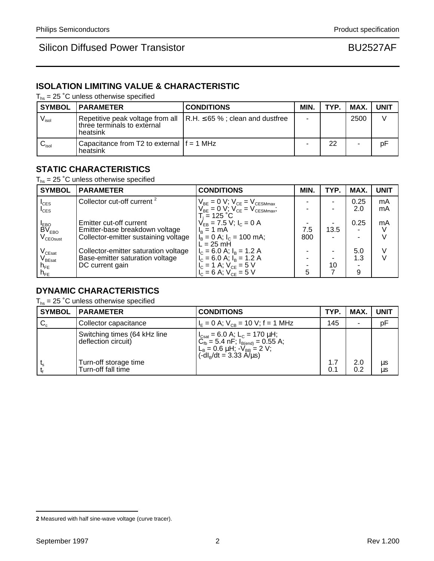## **ISOLATION LIMITING VALUE & CHARACTERISTIC**

 $T_{hs}$  = 25 °C unless otherwise specified

|                              | <b>SYMBOL   PARAMETER</b>                                | <b>CONDITIONS</b>                                                             | MIN. | TYP. | MAX. UNIT |    |
|------------------------------|----------------------------------------------------------|-------------------------------------------------------------------------------|------|------|-----------|----|
| $\mathsf{V}_{\mathsf{isol}}$ | three terminals to external<br>heatsink                  | Repetitive peak voltage from all $\vert$ R.H. $\leq$ 65 %; clean and dustfree |      |      | 2500      |    |
| $\mathsf{v}_\mathsf{isol}$   | l Capacitance from T2 to external If = 1 MHz<br>heatsink |                                                                               |      | 22   |           | pF |

## **STATIC CHARACTERISTICS**

 $T_{hs}$  = 25 °C unless otherwise specified

| <b>SYMBOL</b>                            | <b>PARAMETER</b>                       | <b>CONDITIONS</b>                                                                    | MIN. | TYP. | MAX. | <b>UNIT</b> |
|------------------------------------------|----------------------------------------|--------------------------------------------------------------------------------------|------|------|------|-------------|
| $I_{CES}$                                | Collector cut-off current <sup>2</sup> | $V_{BE} = 0 V$ ; $V_{CE} = V_{CESMmax}$<br>$V_{BE} = 0 V$ ; $V_{CE} = V_{CESMmax}$ ; |      | -    | 0.25 | mA          |
| $I_{CES}$                                |                                        |                                                                                      |      |      | 2.0  | mA          |
|                                          | Emitter cut-off current                | $T_i = 125 °C$<br>$V_{EB} = 7.5 \text{ V}; I_C = 0 \text{ A}$                        |      |      | 0.25 | mA          |
| I <sub>EBO</sub><br>BV <sub>EBO</sub>    | Emitter-base breakdown voltage         | $I_R = 1$ mA                                                                         | 7.5  | 13.5 |      |             |
| V <sub>CEOsust</sub>                     | Collector-emitter sustaining voltage   | $I_B = 0$ A; $I_C = 100$ mA;                                                         | 800  | ۰    |      |             |
|                                          | Collector-emitter saturation voltage   | $L = 25$ mH                                                                          |      |      | 5.0  |             |
| V <sub>CEsat</sub><br>V <sub>BEsat</sub> | Base-emitter saturation voltage        | $I_C = 6.0$ A; $I_B = 1.2$ A<br>$I_C = 6.0$ A; $I_B = 1.2$ A                         |      |      | 1.3  |             |
| $h_{FE}$                                 | DC current gain                        | $V_c = 1$ A; $V_{CE} = 5$ V                                                          |      | 10   |      |             |
| $n_{FE}$                                 |                                        | $V_{C} = 6$ A; $V_{CF} = 5$ V                                                        | 5    |      | 9    |             |

### **DYNAMIC CHARACTERISTICS**

 $T_{hs}$  = 25 °C unless otherwise specified

| <b>SYMBOL</b>        | <b>PARAMETER</b>                                                                                   | <b>CONDITIONS</b>                                                                                                                                                                                                                                                                                            | TYP.       | MAX.                     | <b>UNIT</b>   |
|----------------------|----------------------------------------------------------------------------------------------------|--------------------------------------------------------------------------------------------------------------------------------------------------------------------------------------------------------------------------------------------------------------------------------------------------------------|------------|--------------------------|---------------|
| $\mathbf{C}_{\rm c}$ | Collector capacitance                                                                              | $I_F = 0$ A; $V_{CB} = 10$ V; f = 1 MHz                                                                                                                                                                                                                                                                      | 145        | $\overline{\phantom{a}}$ | pF            |
|                      | Switching times (64 kHz line<br>deflection circuit)<br>Turn-off storage time<br>Turn-off fall time | $\begin{cases} I_{\text{Csat}} = 6.0 \text{ A}; L_{\text{C}} = 170 \text{ }\mu\text{H};\\ C_{\text{fb}} = 5.4 \text{ nF}; I_{\text{B(end)}} = 0.55 \text{ A};\\ L_{\text{B}} = 0.6 \text{ }\mu\text{H}; -V_{\text{BB}} = 2 \text{ V};\\ (-dI_{\text{B}}/\text{dt} = 3.33 \text{ A/}\mu\text{s}) \end{cases}$ | 1.7<br>0.1 | 2.0<br>0.2               | μs<br>$\mu$ s |

**<sup>2</sup>** Measured with half sine-wave voltage (curve tracer).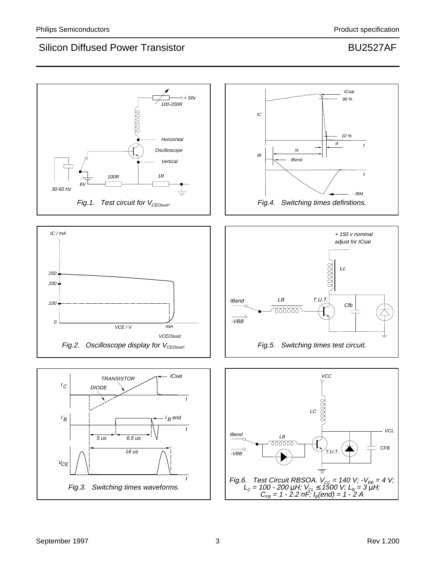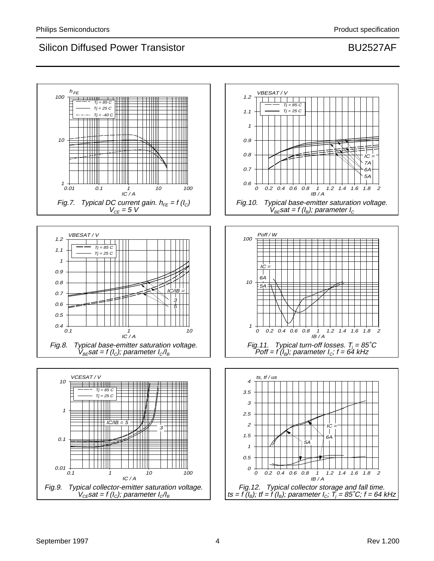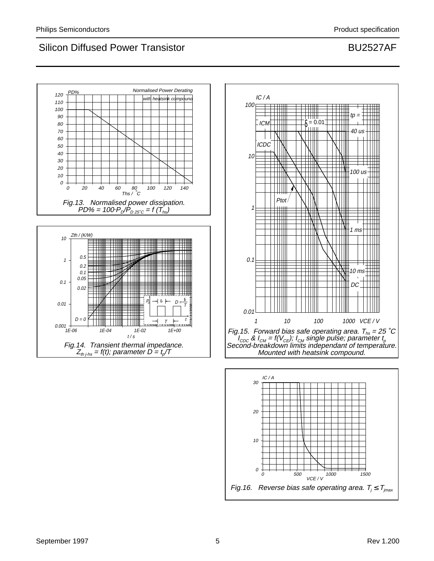





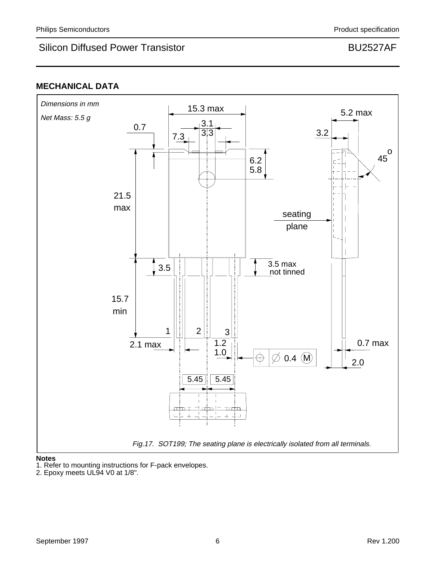## **MECHANICAL DATA**



### **Notes**

1. Refer to mounting instructions for F-pack envelopes.

<sup>2.</sup> Epoxy meets UL94 V0 at 1/8".